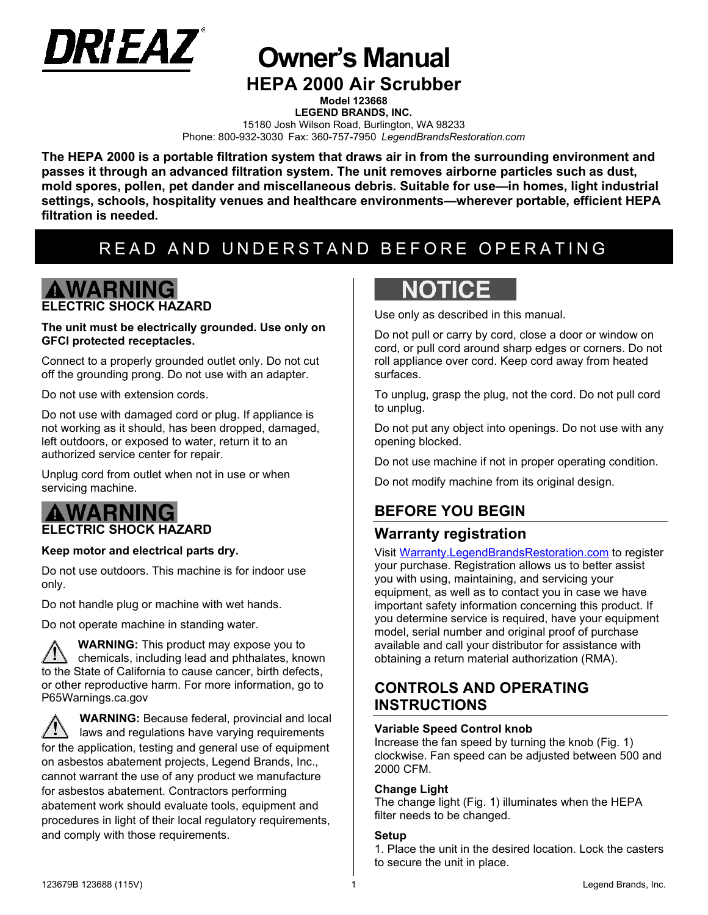

**Owner's Manual**

# **HEPA 2000 Air Scrubber**

**Model 123668 LEGEND BRANDS, INC.**  15180 Josh Wilson Road, Burlington, WA 98233 Phone: 800-932-3030 Fax: 360-757-7950 *LegendBrandsRestoration.com*

**The HEPA 2000 is a portable filtration system that draws air in from the surrounding environment and passes it through an advanced filtration system. The unit removes airborne particles such as dust, mold spores, pollen, pet dander and miscellaneous debris. Suitable for use—in homes, light industrial settings, schools, hospitality venues and healthcare environments—wherever portable, efficient HEPA filtration is needed.**

# READ AND UNDERSTAND BEFORE OPERATING

# **AWARNING ELECTRIC SHOCK HAZARD**

#### **The unit must be electrically grounded. Use only on GFCI protected receptacles.**

Connect to a properly grounded outlet only. Do not cut off the grounding prong. Do not use with an adapter.

Do not use with extension cords.

Do not use with damaged cord or plug. If appliance is not working as it should, has been dropped, damaged, left outdoors, or exposed to water, return it to an authorized service center for repair.

Unplug cord from outlet when not in use or when servicing machine.

# A WARNI

### **ELECTRIC SHOCK HAZARD**

#### **Keep motor and electrical parts dry.**

Do not use outdoors. This machine is for indoor use only.

Do not handle plug or machine with wet hands.

Do not operate machine in standing water.

**WARNING:** This product may expose you to chemicals, including lead and phthalates, known to the State of California to cause cancer, birth defects, or other reproductive harm. For more information, go to P65Warnings.ca.gov

**WARNING:** Because federal, provincial and local laws and regulations have varying requirements for the application, testing and general use of equipment on asbestos abatement projects, Legend Brands, Inc., cannot warrant the use of any product we manufacture for asbestos abatement. Contractors performing abatement work should evaluate tools, equipment and procedures in light of their local regulatory requirements, and comply with those requirements.

# **NOTICE**

Use only as described in this manual.

Do not pull or carry by cord, close a door or window on cord, or pull cord around sharp edges or corners. Do not roll appliance over cord. Keep cord away from heated surfaces.

To unplug, grasp the plug, not the cord. Do not pull cord to unplug.

Do not put any object into openings. Do not use with any opening blocked.

Do not use machine if not in proper operating condition.

Do not modify machine from its original design.

## **BEFORE YOU BEGIN**

### **Warranty registration**

Visit [Warranty.LegendBrandsRestoration.com](https://www.legendbrandsrestoration.com/Warranty) to register your purchase. Registration allows us to better assist you with using, maintaining, and servicing your equipment, as well as to contact you in case we have important safety information concerning this product. If you determine service is required, have your equipment model, serial number and original proof of purchase available and call your distributor for assistance with obtaining a return material authorization (RMA).

## **CONTROLS AND OPERATING INSTRUCTIONS**

#### **Variable Speed Control knob**

Increase the fan speed by turning the knob (Fig. 1) clockwise. Fan speed can be adjusted between 500 and 2000 CFM.

#### **Change Light**

The change light (Fig. 1) illuminates when the HEPA filter needs to be changed.

#### **Setup**

1. Place the unit in the desired location. Lock the casters to secure the unit in place.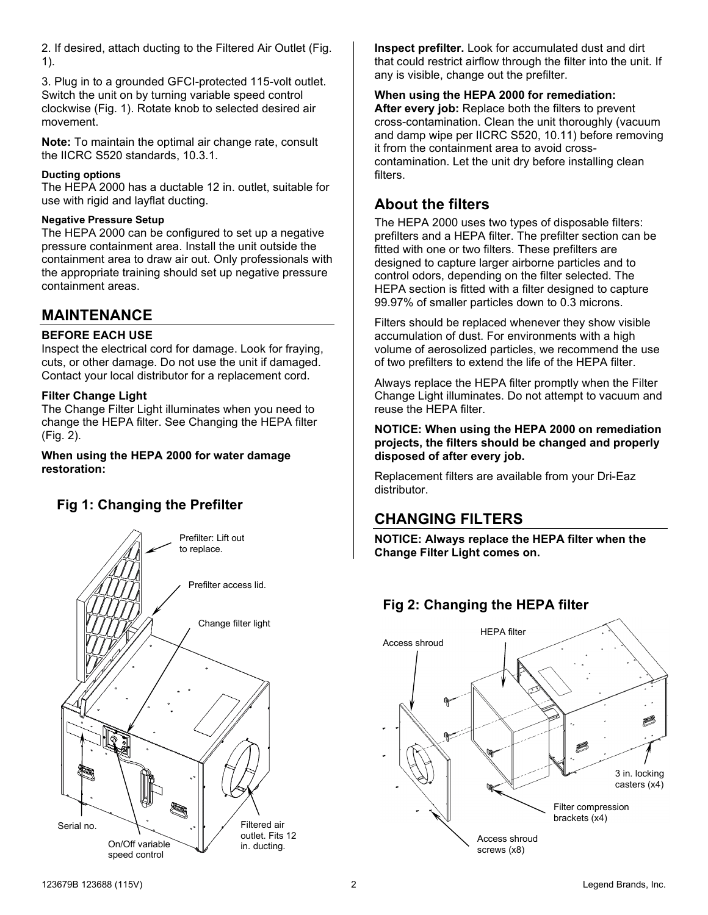2. If desired, attach ducting to the Filtered Air Outlet (Fig. 1).

3. Plug in to a grounded GFCI-protected 115-volt outlet. Switch the unit on by turning variable speed control clockwise (Fig. 1). Rotate knob to selected desired air movement.

**Note:** To maintain the optimal air change rate, consult the IICRC S520 standards, 10.3.1.

#### **Ducting options**

The HEPA 2000 has a ductable 12 in. outlet, suitable for use with rigid and layflat ducting.

#### **Negative Pressure Setup**

The HEPA 2000 can be configured to set up a negative pressure containment area. Install the unit outside the containment area to draw air out. Only professionals with the appropriate training should set up negative pressure containment areas.

## **MAINTENANCE**

#### **BEFORE EACH USE**

Inspect the electrical cord for damage. Look for fraying, cuts, or other damage. Do not use the unit if damaged. Contact your local distributor for a replacement cord.

#### **Filter Change Light**

The Change Filter Light illuminates when you need to change the HEPA filter. See Changing the HEPA filter (Fig. 2).

#### **When using the HEPA 2000 for water damage restoration:**

## **Fig 1: Changing the Prefilter**



**Inspect prefilter.** Look for accumulated dust and dirt that could restrict airflow through the filter into the unit. If any is visible, change out the prefilter.

#### **When using the HEPA 2000 for remediation:**

**After every job:** Replace both the filters to prevent cross-contamination. Clean the unit thoroughly (vacuum and damp wipe per IICRC S520, 10.11) before removing it from the containment area to avoid crosscontamination. Let the unit dry before installing clean filters.

## **About the filters**

The HEPA 2000 uses two types of disposable filters: prefilters and a HEPA filter. The prefilter section can be fitted with one or two filters. These prefilters are designed to capture larger airborne particles and to control odors, depending on the filter selected. The HEPA section is fitted with a filter designed to capture 99.97% of smaller particles down to 0.3 microns.

Filters should be replaced whenever they show visible accumulation of dust. For environments with a high volume of aerosolized particles, we recommend the use of two prefilters to extend the life of the HEPA filter.

Always replace the HEPA filter promptly when the Filter Change Light illuminates. Do not attempt to vacuum and reuse the HEPA filter.

#### **NOTICE: When using the HEPA 2000 on remediation projects, the filters should be changed and properly disposed of after every job.**

Replacement filters are available from your Dri-Eaz distributor.

## **CHANGING FILTERS**

**NOTICE: Always replace the HEPA filter when the Change Filter Light comes on.**

## **Fig 2: Changing the HEPA filter**